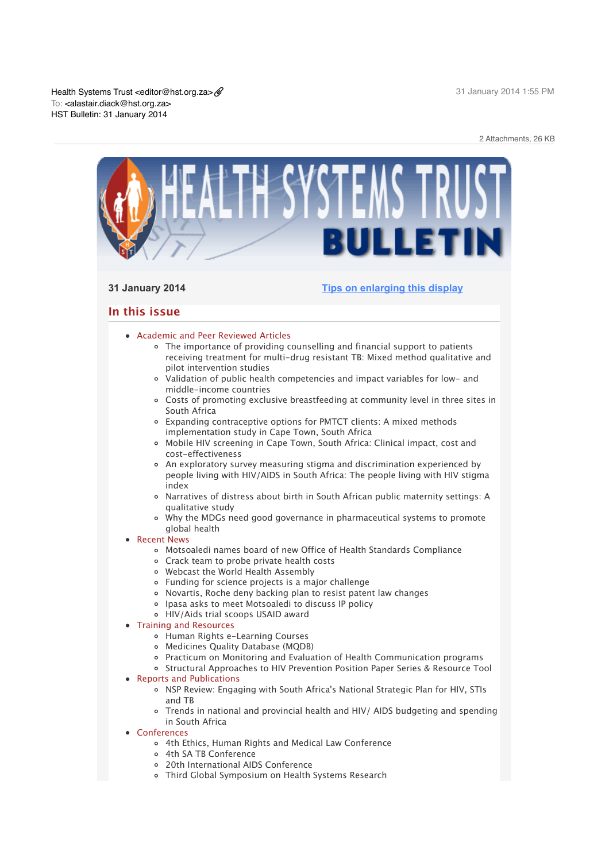

# **31 January 2014 [Tips on enlarging this display](http://bulletin.hst.org.za//lt.php?id=K09QAVZVUAcASlNTAkUEAFdT)**

# **In this issue**

# **[Academic and Peer Reviewed Articles](x-msg://327/#Academic)**

- The importance of providing counselling and financial support to patients [receiving treatment for multi-drug resistant TB: Mixed method qualitative and](x-msg://327/#A_1) pilot intervention studies
- [Validation of public health competencies and impact variables for low- and](x-msg://327/#A_2) middle-income countries
- [Costs of promoting exclusive breastfeeding at community level in three sites in](x-msg://327/#A_4) South Africa
- [Expanding contraceptive options for PMTCT clients: A mixed methods](x-msg://327/#A_3) implementation study in Cape Town, South Africa
- [Mobile HIV screening in Cape Town, South Africa: Clinical impact, cost and](x-msg://327/#A_5) cost-effectiveness
- An exploratory survey measuring stigma and discrimination experienced by [people living with HIV/AIDS in South Africa: The people living with HIV stigma](x-msg://327/#A_7) index
- [Narratives of distress about birth in South African public maternity settings: A](x-msg://327/#A_8) qualitative study
- [Why the MDGs need good governance in pharmaceutical systems to promote](x-msg://327/#A_9) global health

# [Recent News](x-msg://327/#recent)

- [Motsoaledi names board of new Office of Health Standards Compliance](x-msg://327/#N_7)
- [Crack team to probe private health costs](x-msg://327/#N_10)
- [Webcast the World Health Assembly](x-msg://327/#N_1)
- [Funding for science projects is a major challenge](x-msg://327/#N_2)
- [Novartis, Roche deny backing plan to resist patent law changes](x-msg://327/#N_3)
- [Ipasa asks to meet Motsoaledi to discuss IP policy](x-msg://327/#N_4)
- [HIV/Aids trial scoops USAID award](x-msg://327/#N_6)

# [Training and Resources](x-msg://327/#train)

- [Human Rights e-Learning Courses](x-msg://327/#T_1)
- [Medicines Quality Database \(MQDB\)](x-msg://327/#T_2)
- [Practicum on Monitoring and Evaluation of Health Communication programs](x-msg://327/#T_3)
- o [Structural Approaches to HIV Prevention Position Paper Series & Resource Tool](x-msg://327/#T_4)
- [Reports and Publications](x-msg://327/#publications)
	- o [NSP Review: Engaging with South Africa's National Strategic Plan for HIV, STIs](x-msg://327/#P_1) and TB
	- [Trends in national and provincial health and HIV/ AIDS budgeting and spending](x-msg://327/#P_2) in South Africa
- [Conferences](x-msg://327/#conferences)
	- [4th Ethics, Human Rights and Medical Law Conference](x-msg://327/#C_1)
	- [4th SA TB Conference](x-msg://327/#C_2)
	- [20th International AIDS Conference](x-msg://327/#C_3)
	- [Third Global Symposium on Health Systems Research](x-msg://327/#C_4)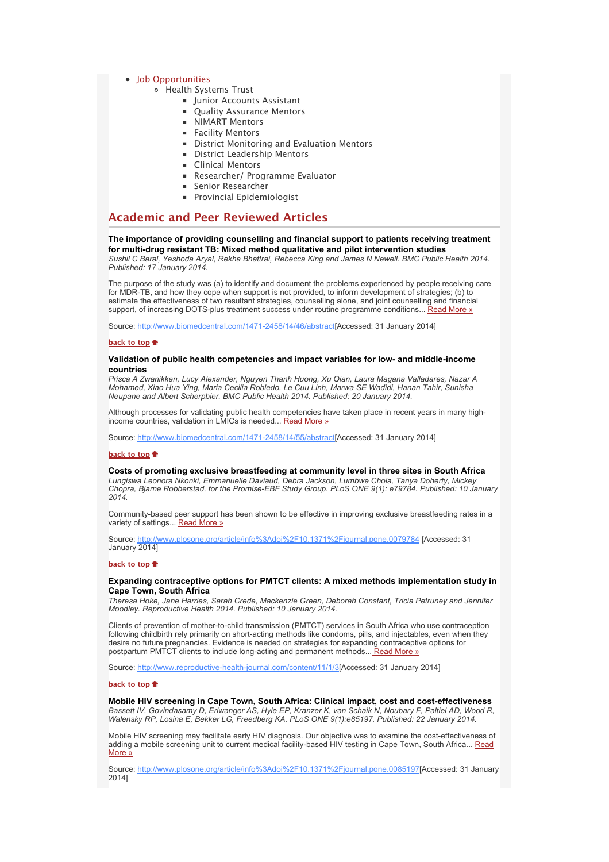# • [Job Opportunities](x-msg://327/#jobs)

- [Health Systems Trust](x-msg://327/#J_1)
	- Iunior Accounts Assistant
	- **[Quality Assurance Mentors](x-msg://327/#J_3)**
	- **[NIMART Mentors](x-msg://327/#J_5)**
	- **[Facility Mentors](x-msg://327/#J_6)**
	- **[District Monitoring and Evaluation Mentors](x-msg://327/#J_7)**
	- **[District Leadership Mentors](x-msg://327/#J_8)**
	- **[Clinical Mentors](x-msg://327/#J_9)**
	- **[Researcher/ Programme Evaluator](x-msg://327/#J_10)**
	- **[Senior Researcher](x-msg://327/#J_11)**
	- **[Provincial Epidemiologist](x-msg://327/#J_4)**

# **Academic and Peer Reviewed Articles**

# **The importance of providing counselling and financial support to patients receiving treatment for multi-drug resistant TB: Mixed method qualitative and pilot intervention studies**

*Sushil C Baral, Yeshoda Aryal, Rekha Bhattrai, Rebecca King and James N Newell. BMC Public Health 2014. Published: 17 January 2014.*

The purpose of the study was (a) to identify and document the problems experienced by people receiving care for MDR-TB, and how they cope when support is not provided, to inform development of strategies; (b) to estimate the effectiveness of two resultant strategies, counselling alone, and joint counselling and financial support, of increasing DOTS-plus treatment success under routine programme conditions... [Read More »](http://bulletin.hst.org.za//lt.php?id=K09QAVZVUAcPSlNTAkUEAFdT)

Source: [http://www.biomedcentral.com/1471-2458/14/46/abstract](http://bulletin.hst.org.za//lt.php?id=K09QAVZVUAcPSlNTAkUEAFdT)[Accessed: 31 January 2014]

# **[back to top](x-msg://327/#top)**

#### **Validation of public health competencies and impact variables for low- and middle-income countries**

*Prisca A Zwanikken, Lucy Alexander, Nguyen Thanh Huong, Xu Qian, Laura Magana Valladares, Nazar A Mohamed, Xiao Hua Ying, Maria Cecilia Robledo, Le Cuu Linh, Marwa SE Wadidi, Hanan Tahir, Sunisha Neupane and Albert Scherpbier. BMC Public Health 2014. Published: 20 January 2014.*

Although processes for validating public health competencies have taken place in recent years in many highincome countries, validation in LMICs is needed..[. Read More »](http://bulletin.hst.org.za//lt.php?id=K09QAVZVUAcOSlNTAkUEAFdT)

Source: [http://www.biomedcentral.com/1471-2458/14/55/abstract](http://bulletin.hst.org.za//lt.php?id=K09QAVZVUAcOSlNTAkUEAFdT)[Accessed: 31 January 2014]

# **[back to top](x-msg://327/#top)**

#### **Costs of promoting exclusive breastfeeding at community level in three sites in South Africa**

*Lungiswa Leonora Nkonki, Emmanuelle Daviaud, Debra Jackson, Lumbwe Chola, Tanya Doherty, Mickey Chopra, Bjarne Robberstad, for the Promise-EBF Study Group. PLoS ONE 9(1): e79784. Published: 10 January 2014.*

Community-based peer support has been shown to be effective in improving exclusive breastfeeding rates in a variety of settings... [Read More »](http://bulletin.hst.org.za//lt.php?id=K09QAVZVUAQHSlNTAkUEAFdT)

Source: [http://www.plosone.org/article/info%3Adoi%2F10.1371%2Fjournal.pone.0079784](http://bulletin.hst.org.za//lt.php?id=K09QAVZVUAQHSlNTAkUEAFdT) [Accessed: 31 January 2014]

#### **[back to top](x-msg://327/#top)**

# **Expanding contraceptive options for PMTCT clients: A mixed methods implementation study in Cape Town, South Africa**

*Theresa Hoke, Jane Harries, Sarah Crede, Mackenzie Green, Deborah Constant, Tricia Petruney and Jennifer Moodley. Reproductive Health 2014. Published: 10 January 2014.*

Clients of prevention of mother-to-child transmission (PMTCT) services in South Africa who use contraception following childbirth rely primarily on short-acting methods like condoms, pills, and injectables, even when they desire no future pregnancies. Evidence is needed on strategies for expanding contraceptive options for postpartum PMTCT clients to include long-acting and permanent methods..[. Read More »](http://bulletin.hst.org.za//lt.php?id=K09QAVZVUAQGSlNTAkUEAFdT)

Source: [http://www.reproductive-health-journal.com/content/11/1/3\[](http://bulletin.hst.org.za//lt.php?id=K09QAVZVUAQGSlNTAkUEAFdT)Accessed: 31 January 2014]

# **[back to top](x-msg://327/#top)**

**Mobile HIV screening in Cape Town, South Africa: Clinical impact, cost and cost-effectiveness** *Bassett IV, Govindasamy D, Erlwanger AS, Hyle EP, Kranzer K, van Schaik N, Noubary F, Paltiel AD, Wood R, Walensky RP, Losina E, Bekker LG, Freedberg KA. PLoS ONE 9(1):e85197. Published: 22 January 2014.*

Mobile HIV screening may facilitate early HIV diagnosis. Our objective was to examine the cost-effectiveness of [adding a mobile screening unit to current medical facility-based HIV testing in Cape Town, South Africa... Read](http://bulletin.hst.org.za//lt.php?id=K09QAVZVUAQFSlNTAkUEAFdT) More »

Source: [http://www.plosone.org/article/info%3Adoi%2F10.1371%2Fjournal.pone.0085197](http://bulletin.hst.org.za//lt.php?id=K09QAVZVUAQFSlNTAkUEAFdT)[Accessed: 31 January 2014]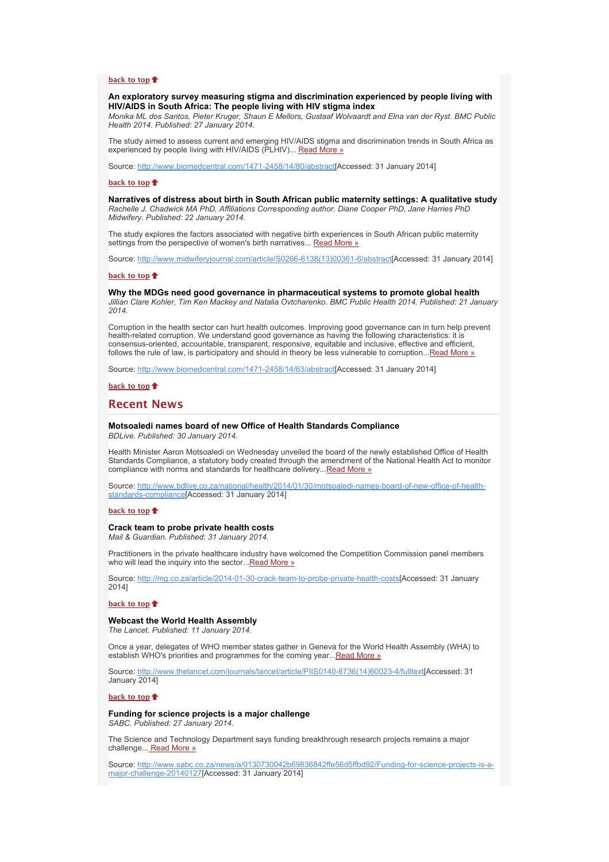#### **[back to top](x-msg://327/#top)**

**An exploratory survey measuring stigma and discrimination experienced by people living with HIV/AIDS in South Africa: The people living with HIV stigma index**

*Monika ML dos Santos, Pieter Kruger, Shaun E Mellors, Gustaaf Wolvaardt and Elna van der Ryst. BMC Public Health 2014. Published: 27 January 2014.*

The study aimed to assess current and emerging HIV/AIDS stigma and discrimination trends in South Africa as experienced by people living with HIV/AIDS (PLHIV)... [Read More »](http://bulletin.hst.org.za//lt.php?id=K09QAVZVUAQESlNTAkUEAFdT)

Source: [http://www.biomedcentral.com/1471-2458/14/80/abstract](http://bulletin.hst.org.za//lt.php?id=K09QAVZVUAQESlNTAkUEAFdT)[Accessed: 31 January 2014]

#### **[back to top](x-msg://327/#top)**

**Narratives of distress about birth in South African public maternity settings: A qualitative study** *Rachelle J. Chadwick MA PhD, Affiliations Corresponding author. Diane Cooper PhD, Jane Harries PhD Midwifery. Published: 22 January 2014.*

The study explores the factors associated with negative birth experiences in South African public maternity settings from the perspective of women's birth narratives... [Read More »](http://bulletin.hst.org.za//lt.php?id=K09QAVZVUAQDSlNTAkUEAFdT)

Source: [http://www.midwiferyjournal.com/article/S0266-6138\(13\)00361-6/abstract\[](http://bulletin.hst.org.za//lt.php?id=K09QAVZVUAQDSlNTAkUEAFdT)Accessed: 31 January 2014]

#### **[back to top](x-msg://327/#top)**

**Why the MDGs need good governance in pharmaceutical systems to promote global health** *Jillian Clare Kohler, Tim Ken Mackey and Natalia Ovtcharenko. BMC Public Health 2014. Published: 21 January 2014.*

Corruption in the health sector can hurt health outcomes. Improving good governance can in turn help prevent health-related corruption. We understand good governance as having the following characteristics: it is consensus-oriented, accountable, transparent, responsive, equitable and inclusive, effective and efficient, follows the rule of law, is participatory and should in theory be less vulnerable to corruption...[Read More »](http://bulletin.hst.org.za//lt.php?id=K09QAVZVUAQBSlNTAkUEAFdT)

Source: [http://www.biomedcentral.com/1471-2458/14/63/abstract](http://bulletin.hst.org.za//lt.php?id=K09QAVZVUAQBSlNTAkUEAFdT)[Accessed: 31 January 2014]

### **[back to top](x-msg://327/#top)**

# **Recent News**

# **Motsoaledi names board of new Office of Health Standards Compliance**

*BDLive. Published: 30 January 2014.*

Health Minister Aaron Motsoaledi on Wednesday unveiled the board of the newly established Office of Health Standards Compliance, a statutory body created through the amendment of the National Health Act to monitor compliance with norms and standards for healthcare delivery..[.Read More »](http://bulletin.hst.org.za//lt.php?id=K09QAVZVUAQASlNTAkUEAFdT)

[Source: http://www.bdlive.co.za/national/health/2014/01/30/motsoaledi-names-board-of-new-office-of-health](http://bulletin.hst.org.za//lt.php?id=K09QAVZVUAQPSlNTAkUEAFdT)standards-compliance[Accessed: 31 January 2014]

### **[back to top](x-msg://327/#top)**

# **Crack team to probe private health costs**

*Mail & Guardian. Published: 31 January 2014.*

Practitioners in the private healthcare industry have welcomed the Competition Commission panel members who will lead the inquiry into the sector... [Read More »](http://bulletin.hst.org.za//lt.php?id=K09QAVZVUAQOSlNTAkUEAFdT)

Source: [http://mg.co.za/article/2014-01-30-crack-team-to-probe-private-health-costs\[](http://bulletin.hst.org.za//lt.php?id=K09QAVZVUAQOSlNTAkUEAFdT)Accessed: 31 January 2014]

# **[back to top](x-msg://327/#top)**

#### **Webcast the World Health Assembly**

*The Lancet. Published: 11 January 2014.*

Once a year, delegates of WHO member states gather in Geneva for the World Health Assembly (WHA) to establish WHO's priorities and programmes for the coming year... Read More »

Source: [http://www.thelancet.com/journals/lancet/article/PIIS0140-6736\(14\)60023-4/fulltext\[](http://bulletin.hst.org.za//lt.php?id=K09QAVZVUAUGSlNTAkUEAFdT)Accessed: 31 January 2014]

#### **[back to top](x-msg://327/#top)**

**Funding for science projects is a major challenge**

*SABC. Published: 27 January 2014.*

The Science and Technology Department says funding breakthrough research projects remains a major challenge..[. Read More »](http://bulletin.hst.org.za//lt.php?id=K09QAVZVUAUFSlNTAkUEAFdT)

[Source: http://www.sabc.co.za/news/a/0130730042b69836842ffe56d5ffbd92/Funding-for-science-projects-is-a](http://bulletin.hst.org.za//lt.php?id=K09QAVZVUAUESlNTAkUEAFdT)major-challenge-20140127[Accessed: 31 January 2014]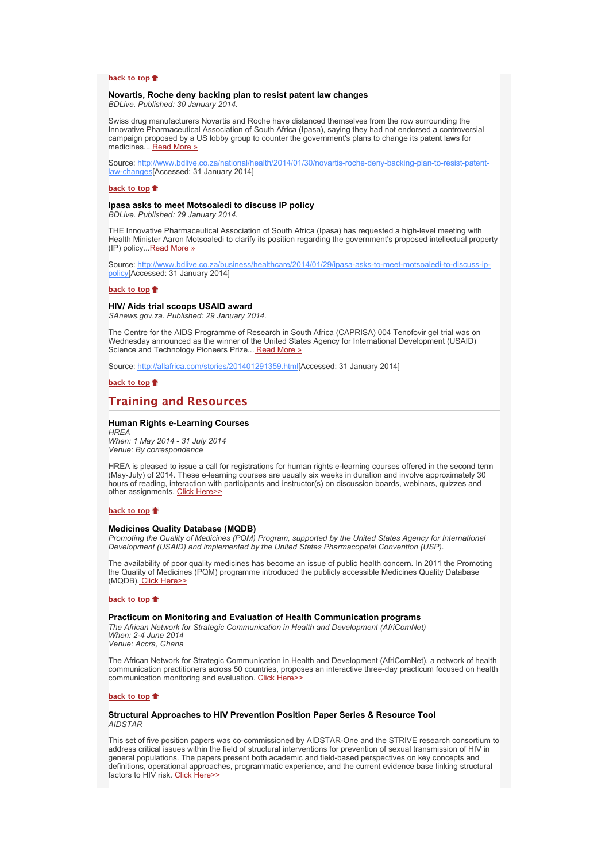#### **[back to top](x-msg://327/#top)**

### **Novartis, Roche deny backing plan to resist patent law changes**

*BDLive. Published: 30 January 2014.*

Swiss drug manufacturers Novartis and Roche have distanced themselves from the row surrounding the Innovative Pharmaceutical Association of South Africa (Ipasa), saying they had not endorsed a controversial campaign proposed by a US lobby group to counter the government's plans to change its patent laws for medicines... [Read More »](http://bulletin.hst.org.za//lt.php?id=K09QAVZVUAUDSlNTAkUEAFdT)

[Source: http://www.bdlive.co.za/national/health/2014/01/30/novartis-roche-deny-backing-plan-to-resist-patent](http://bulletin.hst.org.za//lt.php?id=K09QAVZVUAUDSlNTAkUEAFdT)law-changes[Accessed: 31 January 2014]

#### **[back to top](x-msg://327/#top)**

#### **Ipasa asks to meet Motsoaledi to discuss IP policy**

*BDLive. Published: 29 January 2014.*

THE Innovative Pharmaceutical Association of South Africa (Ipasa) has requested a high-level meeting with Health Minister Aaron Motsoaledi to clarify its position regarding the government's proposed intellectual property (IP) policy... [Read More »](http://bulletin.hst.org.za//lt.php?id=K09QAVZVUAUCSlNTAkUEAFdT)

[Source: http://www.bdlive.co.za/business/healthcare/2014/01/29/ipasa-asks-to-meet-motsoaledi-to-discuss-ip](http://bulletin.hst.org.za//lt.php?id=K09QAVZVUAUCSlNTAkUEAFdT)policy[Accessed: 31 January 2014]

#### **[back to top](x-msg://327/#top)**

#### **HIV/ Aids trial scoops USAID award**

*SAnews.gov.za. Published: 29 January 2014.*

The Centre for the AIDS Programme of Research in South Africa (CAPRISA) 004 Tenofovir gel trial was on Wednesday announced as the winner of the United States Agency for International Development (USAID) Science and Technology Pioneers Prize..[. Read More »](http://bulletin.hst.org.za//lt.php?id=K09QAVZVUAUASlNTAkUEAFdT)

Source: [http://allafrica.com/stories/201401291359.html\[](http://bulletin.hst.org.za//lt.php?id=K09QAVZVUAUASlNTAkUEAFdT)Accessed: 31 January 2014]

#### **[back to top](x-msg://327/#top)**

# **Training and Resources**

# **Human Rights e-Learning Courses**

*HREA When: 1 May 2014 - 31 July 2014 Venue: By correspondence*

HREA is pleased to issue a call for registrations for human rights e-learning courses offered in the second term (May-July) of 2014. These e-learning courses are usually six weeks in duration and involve approximately 30 hours of reading, interaction with participants and instructor(s) on discussion boards, webinars, quizzes and other assignments. [Click Here>>](http://bulletin.hst.org.za//lt.php?id=K09QAVZVUAACSlNTAkUEAFdT)

# **[back to top](x-msg://327/#top)**

#### **Medicines Quality Database (MQDB)**

*Promoting the Quality of Medicines (PQM) Program, supported by the United States Agency for International Development (USAID) and implemented by the United States Pharmacopeial Convention (USP).*

The availability of poor quality medicines has become an issue of public health concern. In 2011 the Promoting the Quality of Medicines (PQM) programme introduced the publicly accessible Medicines Quality Database (MQDB)[. Click Here>>](http://bulletin.hst.org.za//lt.php?id=K09QAVZVUAIHSlNTAkUEAFdT)

#### **[back to top](x-msg://327/#top)**

#### **Practicum on Monitoring and Evaluation of Health Communication programs**

*The African Network for Strategic Communication in Health and Development (AfriComNet) When: 2-4 June 2014*

*Venue: Accra, Ghana*

The African Network for Strategic Communication in Health and Development (AfriComNet), a network of health communication practitioners across 50 countries, proposes an interactive three-day practicum focused on health communication monitoring and evaluation. [Click Here>>](http://bulletin.hst.org.za//lt.php?id=K09QAVZVUAIGSlNTAkUEAFdT)

### **[back to top](x-msg://327/#top)**

# **Structural Approaches to HIV Prevention Position Paper Series & Resource Tool** *AIDSTAR*

This set of five position papers was co-commissioned by AIDSTAR-One and the STRIVE research consortium to address critical issues within the field of structural interventions for prevention of sexual transmission of HIV in general populations. The papers present both academic and field-based perspectives on key concepts and definitions, operational approaches, programmatic experience, and the current evidence base linking structural factors to HIV risk[. Click Here>>](http://bulletin.hst.org.za//lt.php?id=K09QAVZVUAIFSlNTAkUEAFdT)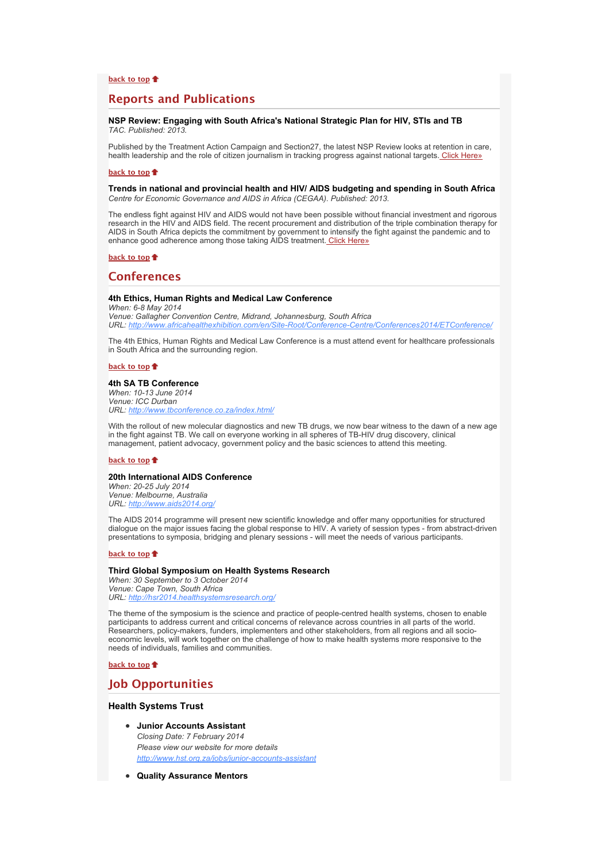# **Reports and Publications**

# **NSP Review: Engaging with South Africa's National Strategic Plan for HIV, STIs and TB** *TAC. Published: 2013.*

Published by the Treatment Action Campaign and Section27, the latest NSP Review looks at retention in care, health leadership and the role of citizen journalism in tracking progress against national targets[. Click Here»](http://bulletin.hst.org.za//lt.php?id=K09QAVZVUAIESlNTAkUEAFdT)

#### **[back to top](x-msg://327/#top)**

#### **Trends in national and provincial health and HIV/ AIDS budgeting and spending in South Africa** *Centre for Economic Governance and AIDS in Africa (CEGAA). Published: 2013.*

The endless fight against HIV and AIDS would not have been possible without financial investment and rigorous research in the HIV and AIDS field. The recent procurement and distribution of the triple combination therapy for AIDS in South Africa depicts the commitment by government to intensify the fight against the pandemic and to enhance good adherence among those taking AIDS treatment[. Click Here»](http://bulletin.hst.org.za//lt.php?id=K09QAVZVUAIDSlNTAkUEAFdT)

# **[back to top](x-msg://327/#top)**

# **Conferences**

# **4th Ethics, Human Rights and Medical Law Conference**

*When: 6-8 May 2014 Venue: Gallagher Convention Centre, Midrand, Johannesburg, South Africa URL: [http://www.africahealthexhibition.com/en/Site-Root/Conference-Centre/Conferences2014/ETConference/](http://bulletin.hst.org.za//lt.php?id=K09QAVZVUAICSlNTAkUEAFdT)*

The 4th Ethics, Human Rights and Medical Law Conference is a must attend event for healthcare professionals in South Africa and the surrounding region.

# **[back to top](x-msg://327/#top)**

#### **4th SA TB Conference**

*When: 10-13 June 2014 Venue: ICC Durban URL: [http://www.tbconference.co.za/index.html/](http://bulletin.hst.org.za//lt.php?id=K09QAVZVUAIBSlNTAkUEAFdT)*

With the rollout of new molecular diagnostics and new TB drugs, we now bear witness to the dawn of a new age in the fight against TB. We call on everyone working in all spheres of TB-HIV drug discovery, clinical management, patient advocacy, government policy and the basic sciences to attend this meeting.

#### **[back to top](x-msg://327/#top)**

#### **20th International AIDS Conference**

*When: 20-25 July 2014 Venue: Melbourne, Australia URL: [http://www.aids2014.org/](http://bulletin.hst.org.za//lt.php?id=K09QAVZVUAIASlNTAkUEAFdT)*

The AIDS 2014 programme will present new scientific knowledge and offer many opportunities for structured dialogue on the major issues facing the global response to HIV. A variety of session types - from abstract-driven presentations to symposia, bridging and plenary sessions - will meet the needs of various participants.

#### **[back to top](x-msg://327/#top)**

# **Third Global Symposium on Health Systems Research**

*When: 30 September to 3 October 2014 Venue: Cape Town, South Africa URL: [http://hsr2014.healthsystemsresearch.org/](http://bulletin.hst.org.za//lt.php?id=K09QAVZVUAIPSlNTAkUEAFdT)*

The theme of the symposium is the science and practice of people-centred health systems, chosen to enable participants to address current and critical concerns of relevance across countries in all parts of the world. Researchers, policy-makers, funders, implementers and other stakeholders, from all regions and all socioeconomic levels, will work together on the challenge of how to make health systems more responsive to the needs of individuals, families and communities.

#### **[back to top](x-msg://327/#top)**

# **Job Opportunities**

# **Health Systems Trust**

- **Junior Accounts Assistant** *Closing Date: 7 February 2014 Please view our website for more details [http://www.hst.org.za/jobs/junior-accounts-assistant](http://bulletin.hst.org.za//lt.php?id=K09QAVZVUAIOSlNTAkUEAFdT)*
- **Quality Assurance Mentors**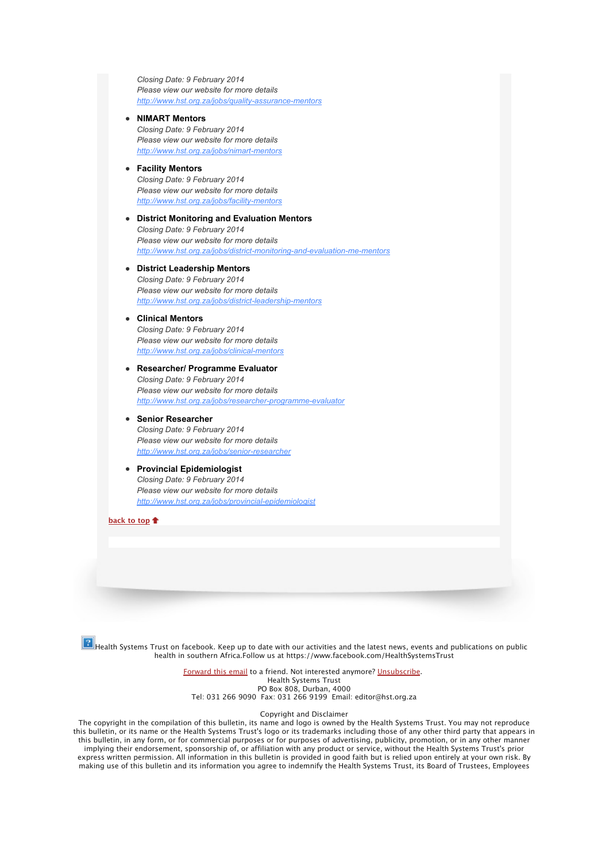*Closing Date: 9 February 2014 Please view our website for more details [http://www.hst.org.za/jobs/quality-assurance-mentors](http://bulletin.hst.org.za//lt.php?id=K09QAVZVUAMHSlNTAkUEAFdT)*

# **NIMART Mentors**

*Closing Date: 9 February 2014 Please view our website for more details [http://www.hst.org.za/jobs/nimart-mentors](http://bulletin.hst.org.za//lt.php?id=K09QAVZVUAMGSlNTAkUEAFdT)*

# **Facility Mentors**

*Closing Date: 9 February 2014 Please view our website for more details [http://www.hst.org.za/jobs/facility-mentors](http://bulletin.hst.org.za//lt.php?id=K09QAVZVUAMFSlNTAkUEAFdT)*

# **District Monitoring and Evaluation Mentors** *Closing Date: 9 February 2014 Please view our website for more details [http://www.hst.org.za/jobs/district-monitoring-and-evaluation-me-mentors](http://bulletin.hst.org.za//lt.php?id=K09QAVZVUAMESlNTAkUEAFdT)*

# **District Leadership Mentors** *Closing Date: 9 February 2014 Please view our website for more details [http://www.hst.org.za/jobs/district-leadership-mentors](http://bulletin.hst.org.za//lt.php?id=K09QAVZVUAMDSlNTAkUEAFdT)*

# **Clinical Mentors** *Closing Date: 9 February 2014 Please view our website for more details [http://www.hst.org.za/jobs/clinical-mentors](http://bulletin.hst.org.za//lt.php?id=K09QAVZVUAAHSlNTAkUEAFdT)*

# **Researcher/ Programme Evaluator** *Closing Date: 9 February 2014 Please view our website for more details [http://www.hst.org.za/jobs/researcher-programme-evaluator](http://bulletin.hst.org.za//lt.php?id=K09QAVZVUAAGSlNTAkUEAFdT)*

# **Senior Researcher**

*Closing Date: 9 February 2014 Please view our website for more details [http://www.hst.org.za/jobs/senior-researcher](http://bulletin.hst.org.za//lt.php?id=K09QAVZVUAAFSlNTAkUEAFdT)*

# **Provincial Epidemiologist**  *Closing Date: 9 February 2014 Please view our website for more details [http://www.hst.org.za/jobs/provincial-epidemiologist](http://bulletin.hst.org.za//lt.php?id=K09QAVZVUAAESlNTAkUEAFdT)*

**[back to top](x-msg://327/#top)**



Health Systems Trust on facebook. Keep up to date with our activities and the latest news, events and publications on public health in southern Africa.Follow us at https://www.facebook.com/HealthSystemsTrust

> [Forward this email](http://bulletin.hst.org.za//lt.php?id=K09QAVZVUAADSlNTAkUEAFdT) to a friend. Not interested anymore? [Unsubscribe.](http://bulletin.hst.org.za//lt.php?id=K09QAVZVUAMBSlNTAkUEAFdT) Health Systems Trust PO Box 808, Durban, 4000 Tel: 031 266 9090 Fax: 031 266 9199 Email: editor@hst.org.za

### Copyright and Disclaimer

The copyright in the compilation of this bulletin, its name and logo is owned by the Health Systems Trust. You may not reproduce this bulletin, or its name or the Health Systems Trust's logo or its trademarks including those of any other third party that appears in this bulletin, in any form, or for commercial purposes or for purposes of advertising, publicity, promotion, or in any other manner implying their endorsement, sponsorship of, or affiliation with any product or service, without the Health Systems Trust's prior express written permission. All information in this bulletin is provided in good faith but is relied upon entirely at your own risk. By making use of this bulletin and its information you agree to indemnify the Health Systems Trust, its Board of Trustees, Employees